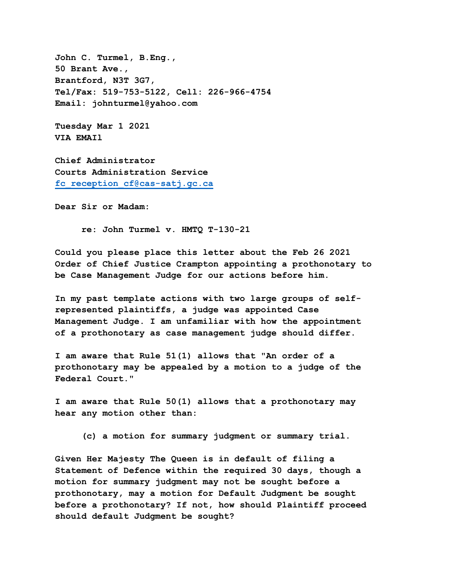**John C. Turmel, B.Eng., 50 Brant Ave., Brantford, N3T 3G7, Tel/Fax: 519-753-5122, Cell: 226-966-4754 Email: johnturmel@yahoo.com**

**Tuesday Mar 1 2021 VIA EMAIl** 

**Chief Administrator Courts Administration Service [fc\\_reception\\_cf@cas-satj.gc.ca](mailto:fc_reception_cf@cas-satj.gc.ca)**

**Dear Sir or Madam:** 

 **re: John Turmel v. HMTQ T-130-21** 

**Could you please place this letter about the Feb 26 2021 Order of Chief Justice Crampton appointing a prothonotary to be Case Management Judge for our actions before him.** 

**In my past template actions with two large groups of selfrepresented plaintiffs, a judge was appointed Case Management Judge. I am unfamiliar with how the appointment of a prothonotary as case management judge should differ.** 

**I am aware that Rule 51(1) allows that "An order of a prothonotary may be appealed by a motion to a judge of the Federal Court."** 

**I am aware that Rule 50(1) allows that a prothonotary may hear any motion other than:**

 **(c) a motion for summary judgment or summary trial.**

**Given Her Majesty The Queen is in default of filing a Statement of Defence within the required 30 days, though a motion for summary judgment may not be sought before a prothonotary, may a motion for Default Judgment be sought before a prothonotary? If not, how should Plaintiff proceed should default Judgment be sought?**